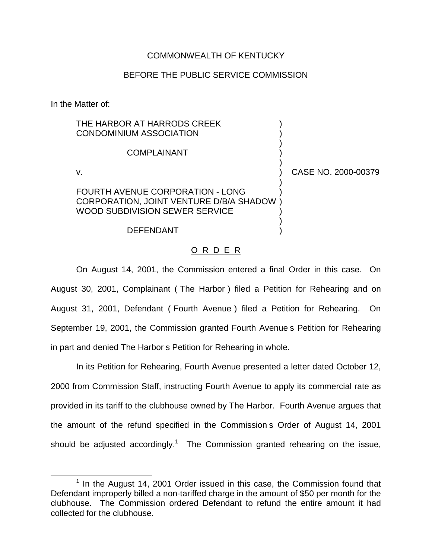## COMMONWEALTH OF KENTUCKY

## BEFORE THE PUBLIC SERVICE COMMISSION

In the Matter of:

| THE HARBOR AT HARRODS CREEK<br><b>CONDOMINIUM ASSOCIATION</b>                                                        |                     |
|----------------------------------------------------------------------------------------------------------------------|---------------------|
| COMPI AINANT                                                                                                         |                     |
| v.                                                                                                                   | CASE NO. 2000-00379 |
| <b>FOURTH AVENUE CORPORATION - LONG</b><br>CORPORATION, JOINT VENTURE D/B/A SHADOW<br>WOOD SUBDIVISION SEWER SERVICE |                     |
| <b>DEFENDANT</b>                                                                                                     |                     |

## O R D E R

On August 14, 2001, the Commission entered a final Order in this case. On August 30, 2001, Complainant ( The Harbor ) filed a Petition for Rehearing and on August 31, 2001, Defendant ( Fourth Avenue ) filed a Petition for Rehearing. On September 19, 2001, the Commission granted Fourth Avenue s Petition for Rehearing in part and denied The Harbor s Petition for Rehearing in whole.

In its Petition for Rehearing, Fourth Avenue presented a letter dated October 12, 2000 from Commission Staff, instructing Fourth Avenue to apply its commercial rate as provided in its tariff to the clubhouse owned by The Harbor. Fourth Avenue argues that the amount of the refund specified in the Commission s Order of August 14, 2001 should be adjusted accordingly.<sup>1</sup> The Commission granted rehearing on the issue,

 $1$  In the August 14, 2001 Order issued in this case, the Commission found that Defendant improperly billed a non-tariffed charge in the amount of \$50 per month for the clubhouse. The Commission ordered Defendant to refund the entire amount it had collected for the clubhouse.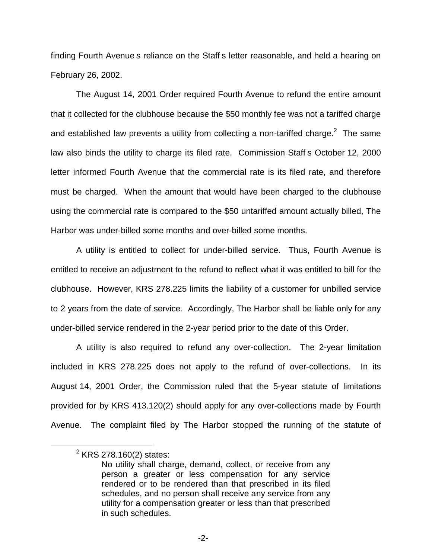finding Fourth Avenue s reliance on the Staff s letter reasonable, and held a hearing on February 26, 2002.

The August 14, 2001 Order required Fourth Avenue to refund the entire amount that it collected for the clubhouse because the \$50 monthly fee was not a tariffed charge and established law prevents a utility from collecting a non-tariffed charge.<sup>2</sup> The same law also binds the utility to charge its filed rate. Commission Staff s October 12, 2000 letter informed Fourth Avenue that the commercial rate is its filed rate, and therefore must be charged. When the amount that would have been charged to the clubhouse using the commercial rate is compared to the \$50 untariffed amount actually billed, The Harbor was under-billed some months and over-billed some months.

A utility is entitled to collect for under-billed service. Thus, Fourth Avenue is entitled to receive an adjustment to the refund to reflect what it was entitled to bill for the clubhouse. However, KRS 278.225 limits the liability of a customer for unbilled service to 2 years from the date of service. Accordingly, The Harbor shall be liable only for any under-billed service rendered in the 2-year period prior to the date of this Order.

A utility is also required to refund any over-collection. The 2-year limitation included in KRS 278.225 does not apply to the refund of over-collections. In its August 14, 2001 Order, the Commission ruled that the 5-year statute of limitations provided for by KRS 413.120(2) should apply for any over-collections made by Fourth Avenue. The complaint filed by The Harbor stopped the running of the statute of

 $2$  KRS 278.160(2) states:

No utility shall charge, demand, collect, or receive from any person a greater or less compensation for any service rendered or to be rendered than that prescribed in its filed schedules, and no person shall receive any service from any utility for a compensation greater or less than that prescribed in such schedules.